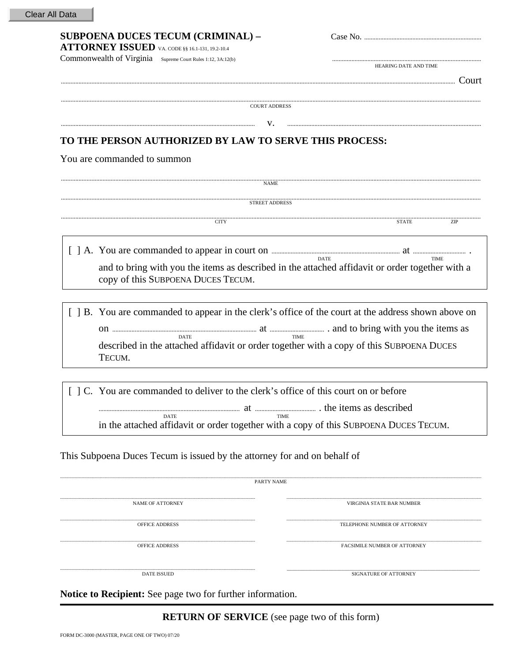Clear All Data

| <b>SUBPOENA DUCES TECUM (CRIMINAL) -</b><br>ATTORNEY ISSUED VA. CODE §§ 16.1-131, 19.2-10.4                                                                                                                                                                 |                                                                                                                                                                                                                                |  |  |  |  |  |
|-------------------------------------------------------------------------------------------------------------------------------------------------------------------------------------------------------------------------------------------------------------|--------------------------------------------------------------------------------------------------------------------------------------------------------------------------------------------------------------------------------|--|--|--|--|--|
| Commonwealth of Virginia Supreme Court Rules 1:12, 3A:12(b)                                                                                                                                                                                                 |                                                                                                                                                                                                                                |  |  |  |  |  |
|                                                                                                                                                                                                                                                             | HEARING DATE AND TIME                                                                                                                                                                                                          |  |  |  |  |  |
|                                                                                                                                                                                                                                                             |                                                                                                                                                                                                                                |  |  |  |  |  |
|                                                                                                                                                                                                                                                             |                                                                                                                                                                                                                                |  |  |  |  |  |
| <b>COURT ADDRESS</b>                                                                                                                                                                                                                                        |                                                                                                                                                                                                                                |  |  |  |  |  |
| v.                                                                                                                                                                                                                                                          |                                                                                                                                                                                                                                |  |  |  |  |  |
| TO THE PERSON AUTHORIZED BY LAW TO SERVE THIS PROCESS:                                                                                                                                                                                                      |                                                                                                                                                                                                                                |  |  |  |  |  |
| You are commanded to summon                                                                                                                                                                                                                                 |                                                                                                                                                                                                                                |  |  |  |  |  |
|                                                                                                                                                                                                                                                             |                                                                                                                                                                                                                                |  |  |  |  |  |
| <b>NAME</b>                                                                                                                                                                                                                                                 |                                                                                                                                                                                                                                |  |  |  |  |  |
| $\begin{minipage}{0.9\linewidth} \textbf{STREET ADDRESS} \end{minipage}$                                                                                                                                                                                    |                                                                                                                                                                                                                                |  |  |  |  |  |
|                                                                                                                                                                                                                                                             |                                                                                                                                                                                                                                |  |  |  |  |  |
| <b>CITY</b>                                                                                                                                                                                                                                                 | EXAMPLE THE TRACK THE TERM OF THE TRACK THE TERM THE TRACK THE TERM OF THE TRACK THE TERM OF THE TERM OF THE TRACK THE TERM OF THE TERM OF THE TERM OF THE THE THE THEORETIC THE THE THEORETIC THEORETIC THEORETIC THEORETIC T |  |  |  |  |  |
|                                                                                                                                                                                                                                                             |                                                                                                                                                                                                                                |  |  |  |  |  |
|                                                                                                                                                                                                                                                             | <b>DATE</b><br><b>TIME</b>                                                                                                                                                                                                     |  |  |  |  |  |
| and to bring with you the items as described in the attached affidavit or order together with a                                                                                                                                                             |                                                                                                                                                                                                                                |  |  |  |  |  |
| copy of this SUBPOENA DUCES TECUM.                                                                                                                                                                                                                          |                                                                                                                                                                                                                                |  |  |  |  |  |
|                                                                                                                                                                                                                                                             |                                                                                                                                                                                                                                |  |  |  |  |  |
|                                                                                                                                                                                                                                                             |                                                                                                                                                                                                                                |  |  |  |  |  |
|                                                                                                                                                                                                                                                             | [ ] B. You are commanded to appear in the clerk's office of the court at the address shown above on                                                                                                                            |  |  |  |  |  |
| <b>DATE</b>                                                                                                                                                                                                                                                 |                                                                                                                                                                                                                                |  |  |  |  |  |
| described in the attached affidavit or order together with a copy of this SUBPOENA DUCES                                                                                                                                                                    |                                                                                                                                                                                                                                |  |  |  |  |  |
| TECUM.                                                                                                                                                                                                                                                      |                                                                                                                                                                                                                                |  |  |  |  |  |
|                                                                                                                                                                                                                                                             |                                                                                                                                                                                                                                |  |  |  |  |  |
| [ ] C. You are commanded to deliver to the clerk's office of this court on or before                                                                                                                                                                        |                                                                                                                                                                                                                                |  |  |  |  |  |
|                                                                                                                                                                                                                                                             |                                                                                                                                                                                                                                |  |  |  |  |  |
| the items as described and the state of the state of the state of the state of the state of the state of the state of the state of the state of the state of the state of the state of the state of the state of the state of<br><b>DATE</b><br><b>TIME</b> |                                                                                                                                                                                                                                |  |  |  |  |  |
| in the attached affidavit or order together with a copy of this SUBPOENA DUCES TECUM.                                                                                                                                                                       |                                                                                                                                                                                                                                |  |  |  |  |  |
|                                                                                                                                                                                                                                                             |                                                                                                                                                                                                                                |  |  |  |  |  |
| This Subpoena Duces Tecum is issued by the attorney for and on behalf of                                                                                                                                                                                    |                                                                                                                                                                                                                                |  |  |  |  |  |
|                                                                                                                                                                                                                                                             |                                                                                                                                                                                                                                |  |  |  |  |  |
| <b>PARTY NAME</b>                                                                                                                                                                                                                                           |                                                                                                                                                                                                                                |  |  |  |  |  |
|                                                                                                                                                                                                                                                             |                                                                                                                                                                                                                                |  |  |  |  |  |
| <b>NAME OF ATTORNEY</b>                                                                                                                                                                                                                                     | VIRGINIA STATE BAR NUMBER                                                                                                                                                                                                      |  |  |  |  |  |
| <b>OFFICE ADDRESS</b>                                                                                                                                                                                                                                       | TELEPHONE NUMBER OF ATTORNEY                                                                                                                                                                                                   |  |  |  |  |  |
|                                                                                                                                                                                                                                                             |                                                                                                                                                                                                                                |  |  |  |  |  |
|                                                                                                                                                                                                                                                             |                                                                                                                                                                                                                                |  |  |  |  |  |

DATE ISSUED

SIGNATURE OF ATTORNEY

Notice to Recipient: See page two for further information.

**RETURN OF SERVICE** (see page two of this form)